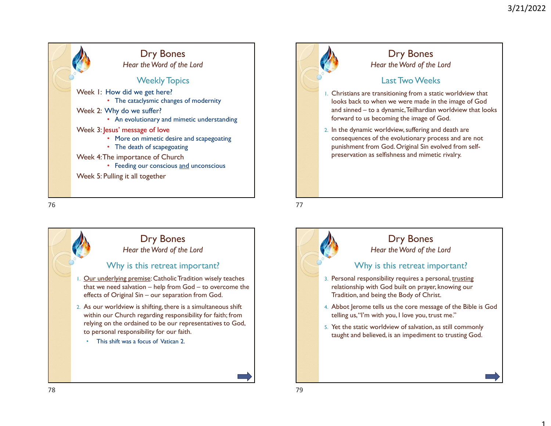1







## Dry Bones Hear the Word of the Lord

## Why is this retreat important?

- 1. Our underlying premise: Catholic Tradition wisely teaches
- 2. As our worldview is shifting, there is a simultaneous shift within our Church regarding responsibility for faith; from relying on the ordained to be our representatives to God, to personal responsibility for our faith.
	- This shift was a focus of Vatican 2.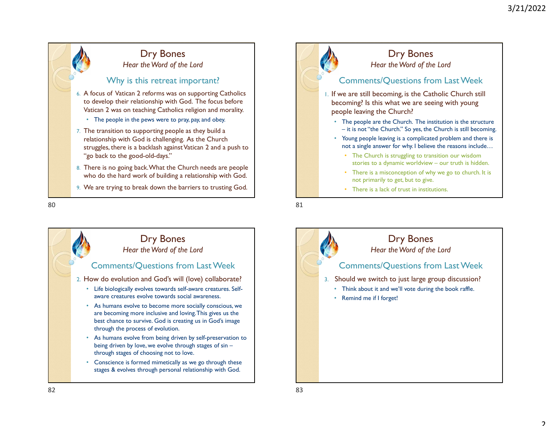



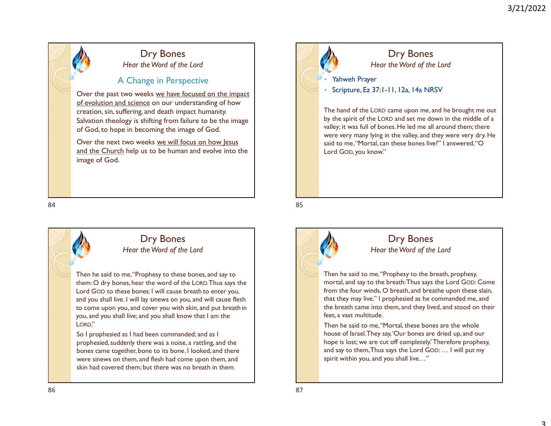## Dry Bones Hear the Word of the Lord

## A Change in Perspective

Over the past two weeks we have focused on the impact **Scheme Scheme Scheme Scheme Scheme Scheme Scheme Scheme Scheme Scheme Scheme Scheme Scheme Scheme Scheme Scheme Scheme Scheme Scheme Scheme Scheme Scheme Scheme Scheme Scheme Scheme Scheme Scheme Scheme Scheme Scheme Sche** creation, sin, suffering, and death impact humanity. Salvation theology is shifting from failure to be the image of God, to hope in becoming the image of God. and the Church help us to be human and evolve into the church control control control control control control control control control control capacity of evolution and science on our understanding of how creation, is, suff

Over the next two weeks we will focus on how Jesus image of God.



# Dry Bones Hear the Word of the Lord

- 
- 

• Scripture, Ez 37:1-11, 12a, 14a NRSV The hand of the LORD came upon me, and he brought me out by the spirit of the LORD and set me down in the middle of a valley; it was full of bones. He led me all around them; there were very many lying in the valley, and they were very dry. He said to me, "Mortal, can these bones live?" I answered, "O Lord GOD, you know." 1844<br>
84<br>
84 Boothe Word of the Lord<br>
2011 Marchand Science in Perspective<br>
Over the past two weeks we have focused on the impact<br>
of exclusion and science on our understanding of how<br>
creation, sin, suffering and death im

Dry Bones

### Hear the Word of the Lord

Then he said to me, "Prophesy to these bones, and say to them: O dry bones, hear the word of the LORD. Thus says the Creation, sin, unter part of God, to the spirit of the LoRD and beath to the CRS calculation of God, to hope in becoming the image of God.<br>
Salvation the log is shifting from failure to be the image<br>
of God, to hope in bec and you shall live. I will lay sinews on you, and will cause flesh of God, to hope in becoming the image of God,<br>
Over the next two weeks <u>we will focus on how lessus</u><br>
and the Church help us to be human and evolve into the<br>
linge of God,<br>
Lord Got, you know."<br>
Experiment and put breath i you, and you shall live; and you shall know that I am the LORD." Somethe Said to me, "Prophesy to these bones, and say to<br>
Then he said to me, "Prophesy to these bones, and say to<br>
Then he said to me, "Prophesy to the Lord<br>
Then the Said to me,"Prophesy to the breath Thus says the lord<br>

So I prophesied as I had been commanded; and as I prophesied, suddenly there was a noise, a rattling, and the bones came together, bone to its bone. I looked, and there were sinews on them, and flesh had come upon them, and skin had covered them; but there was no breath in them.



# Dry Bones

Hear the Word of the Lord

Then he said to me, "Prophesy to the breath, prophesy, mortal, and say to the breath: Thus says the Lord GOD: Come from the four winds, O breath, and breathe upon these slain, that they may live." I prophesied as he commanded me, and the breath came into them, and they lived, and stood on their feet, a vast multitude.

Then he said to me, "Mortal, these bones are the whole house of Israel. They say, 'Our bones are dried up, and our hope is lost; we are cut off completely.' Therefore prophesy, and say to them, Thus says the Lord GOD: … I will put my spirit within you, and you shall live…"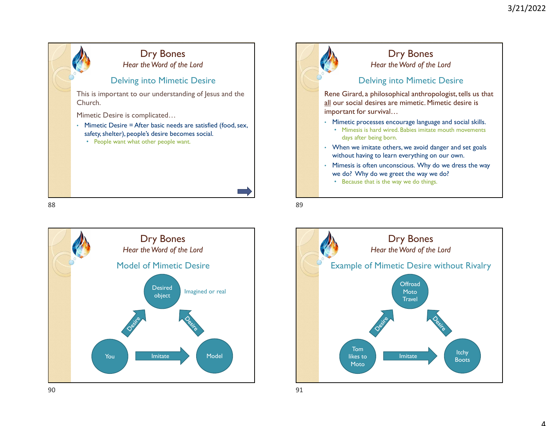



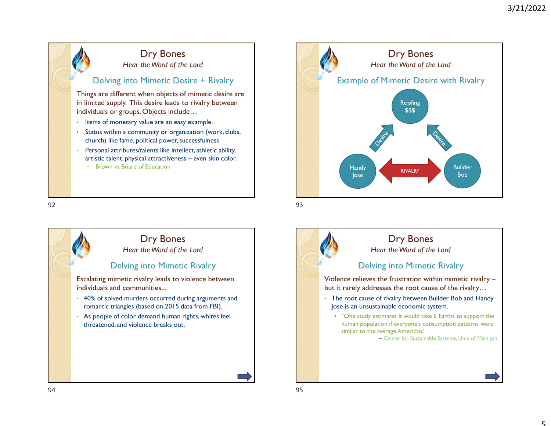





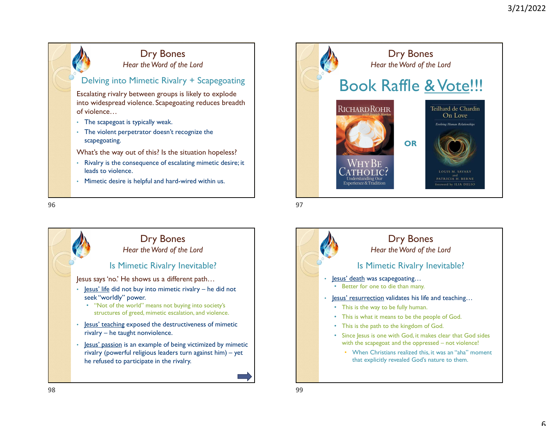







• "Not of the world" means not buying into society's structures of greed, mimetic escalation, and violence.

- 
- he refused to participate in the rivalry.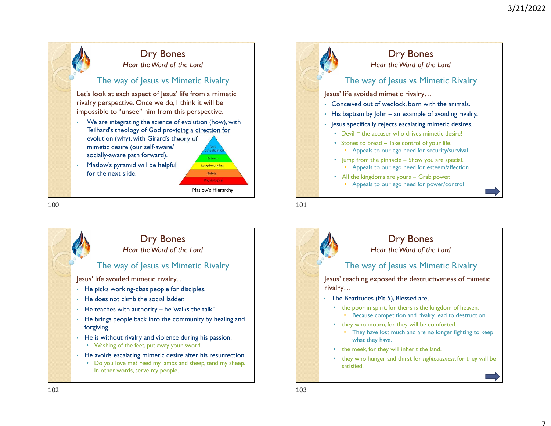7





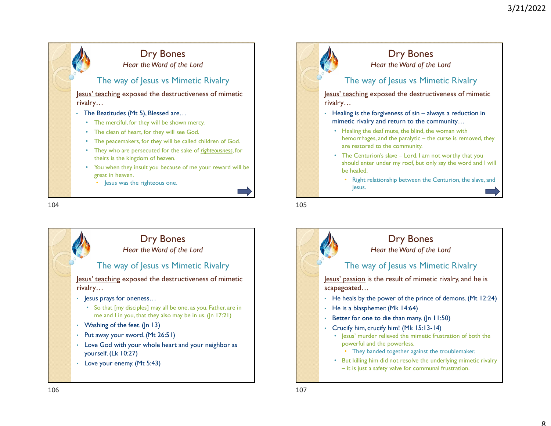



- So that [my disciples] may all be one, as you, Father, are in me and I in you, that they also may be in us. (Jn 17:21)
- Washing of the feet. (Jn 13)
- Put away your sword. (Mt 26:51)
- Love God with your whole heart and your neighbor as yourself. (Lk 10:27)
- Love your enemy. (Mt 5:43)



- should enter under my roof, but only say the word and I will be healed.
	- Right relationship between the Centurion, the slave, and Jesus.

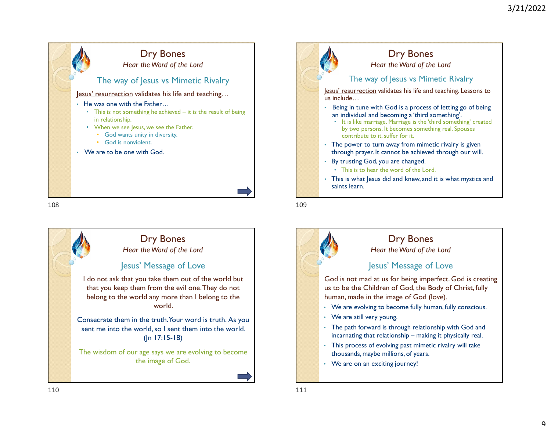



The way of Jesus vs Mimetic Rivalry 3/21/2022<br>
Jesus' resurrection validates his life and teaching.<br>
Lessons to<br>
Jesus' resurrection validates his life and teaching.<br>
Lessons to<br>
us include...<br>
Jesus' in tune with God is a process of letting go of being<br>
an us include… Being in tune with God is a process of letting go of being an individual and becoming a 'third something'. • It is like marriage. Marriage is the 'third something' created by two persons. It becomes something real. Spouses contribute to it, suffer for it. • The power to turn away from mimetic rivalry is given through prayer. It cannot be achieved through our will. • By trusting God, you are changed. • This is to hear the word of the Lord. • This is what lesus did and knew, and it is what mystics and saints learn. Dry Bones Hear the Word of the Lord



• We are on an exciting journey!